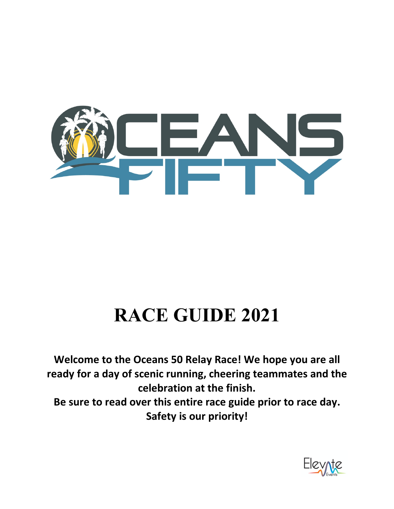

# **RACE GUIDE 2021**

**Welcome to the Oceans 50 Relay Race! We hope you are all ready for a day of scenic running, cheering teammates and the celebration at the finish.**

**Be sure to read over this entire race guide prior to race day. Safety is our priority!**

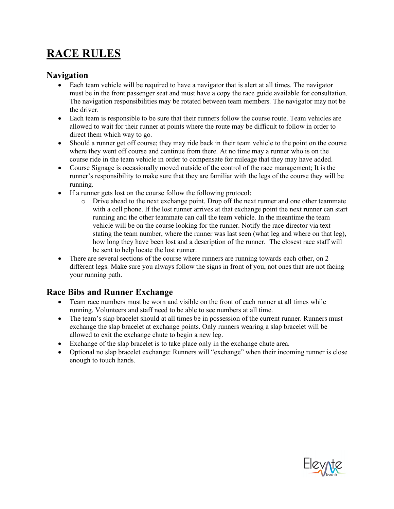# **RACE RULES**

#### **Navigation**

- Each team vehicle will be required to have a navigator that is alert at all times. The navigator must be in the front passenger seat and must have a copy the race guide available for consultation. The navigation responsibilities may be rotated between team members. The navigator may not be the driver.
- Each team is responsible to be sure that their runners follow the course route. Team vehicles are allowed to wait for their runner at points where the route may be difficult to follow in order to direct them which way to go.
- Should a runner get off course; they may ride back in their team vehicle to the point on the course where they went off course and continue from there. At no time may a runner who is on the course ride in the team vehicle in order to compensate for mileage that they may have added.
- Course Signage is occasionally moved outside of the control of the race management; It is the runner's responsibility to make sure that they are familiar with the legs of the course they will be running.
- If a runner gets lost on the course follow the following protocol:
	- o Drive ahead to the next exchange point. Drop off the next runner and one other teammate with a cell phone. If the lost runner arrives at that exchange point the next runner can start running and the other teammate can call the team vehicle. In the meantime the team vehicle will be on the course looking for the runner. Notify the race director via text stating the team number, where the runner was last seen (what leg and where on that leg), how long they have been lost and a description of the runner. The closest race staff will be sent to help locate the lost runner.
- There are several sections of the course where runners are running towards each other, on 2 different legs. Make sure you always follow the signs in front of you, not ones that are not facing your running path.

#### **Race Bibs and Runner Exchange**

- Team race numbers must be worn and visible on the front of each runner at all times while running. Volunteers and staff need to be able to see numbers at all time.
- The team's slap bracelet should at all times be in possession of the current runner. Runners must exchange the slap bracelet at exchange points. Only runners wearing a slap bracelet will be allowed to exit the exchange chute to begin a new leg.
- Exchange of the slap bracelet is to take place only in the exchange chute area.
- Optional no slap bracelet exchange: Runners will "exchange" when their incoming runner is close enough to touch hands.

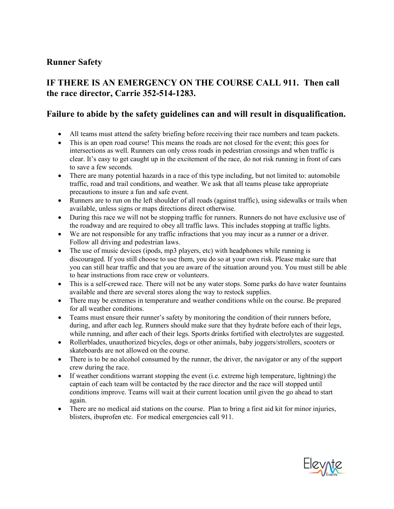#### **Runner Safety**

#### **IF THERE IS AN EMERGENCY ON THE COURSE CALL 911. Then call the race director, Carrie 352-514-1283.**

#### **Failure to abide by the safety guidelines can and will result in disqualification.**

- All teams must attend the safety briefing before receiving their race numbers and team packets.
- This is an open road course! This means the roads are not closed for the event; this goes for intersections as well. Runners can only cross roads in pedestrian crossings and when traffic is clear. It's easy to get caught up in the excitement of the race, do not risk running in front of cars to save a few seconds.
- There are many potential hazards in a race of this type including, but not limited to: automobile traffic, road and trail conditions, and weather. We ask that all teams please take appropriate precautions to insure a fun and safe event.
- Runners are to run on the left shoulder of all roads (against traffic), using sidewalks or trails when available, unless signs or maps directions direct otherwise.
- During this race we will not be stopping traffic for runners. Runners do not have exclusive use of the roadway and are required to obey all traffic laws. This includes stopping at traffic lights.
- We are not responsible for any traffic infractions that you may incur as a runner or a driver. Follow all driving and pedestrian laws.
- The use of music devices (ipods, mp3 players, etc) with headphones while running is discouraged. If you still choose to use them, you do so at your own risk. Please make sure that you can still hear traffic and that you are aware of the situation around you. You must still be able to hear instructions from race crew or volunteers.
- This is a self-crewed race. There will not be any water stops. Some parks do have water fountains available and there are several stores along the way to restock supplies.
- There may be extremes in temperature and weather conditions while on the course. Be prepared for all weather conditions.
- Teams must ensure their runner's safety by monitoring the condition of their runners before, during, and after each leg. Runners should make sure that they hydrate before each of their legs, while running, and after each of their legs. Sports drinks fortified with electrolytes are suggested.
- Rollerblades, unauthorized bicycles, dogs or other animals, baby joggers/strollers, scooters or skateboards are not allowed on the course.
- There is to be no alcohol consumed by the runner, the driver, the navigator or any of the support crew during the race.
- If weather conditions warrant stopping the event (i.e. extreme high temperature, lightning) the captain of each team will be contacted by the race director and the race will stopped until conditions improve. Teams will wait at their current location until given the go ahead to start again.
- There are no medical aid stations on the course. Plan to bring a first aid kit for minor injuries, blisters, ibuprofen etc. For medical emergencies call 911.

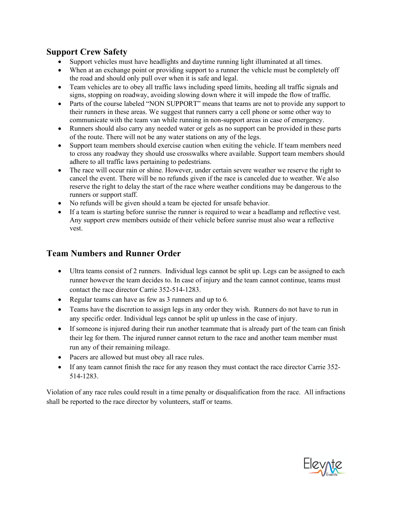#### **Support Crew Safety**

- Support vehicles must have headlights and daytime running light illuminated at all times.
- When at an exchange point or providing support to a runner the vehicle must be completely off the road and should only pull over when it is safe and legal.
- Team vehicles are to obey all traffic laws including speed limits, heeding all traffic signals and signs, stopping on roadway, avoiding slowing down where it will impede the flow of traffic.
- Parts of the course labeled "NON SUPPORT" means that teams are not to provide any support to their runners in these areas. We suggest that runners carry a cell phone or some other way to communicate with the team van while running in non-support areas in case of emergency.
- Runners should also carry any needed water or gels as no support can be provided in these parts of the route. There will not be any water stations on any of the legs.
- Support team members should exercise caution when exiting the vehicle. If team members need to cross any roadway they should use crosswalks where available. Support team members should adhere to all traffic laws pertaining to pedestrians.
- The race will occur rain or shine. However, under certain severe weather we reserve the right to cancel the event. There will be no refunds given if the race is canceled due to weather. We also reserve the right to delay the start of the race where weather conditions may be dangerous to the runners or support staff.
- No refunds will be given should a team be ejected for unsafe behavior.
- If a team is starting before sunrise the runner is required to wear a headlamp and reflective vest. Any support crew members outside of their vehicle before sunrise must also wear a reflective vest.

### **Team Numbers and Runner Order**

- Ultra teams consist of 2 runners. Individual legs cannot be split up. Legs can be assigned to each runner however the team decides to. In case of injury and the team cannot continue, teams must contact the race director Carrie 352-514-1283.
- Regular teams can have as few as 3 runners and up to 6.
- Teams have the discretion to assign legs in any order they wish. Runners do not have to run in any specific order. Individual legs cannot be split up unless in the case of injury.
- If someone is injured during their run another teammate that is already part of the team can finish their leg for them. The injured runner cannot return to the race and another team member must run any of their remaining mileage.
- Pacers are allowed but must obey all race rules.
- If any team cannot finish the race for any reason they must contact the race director Carrie 352-514-1283.

Violation of any race rules could result in a time penalty or disqualification from the race. All infractions shall be reported to the race director by volunteers, staff or teams.

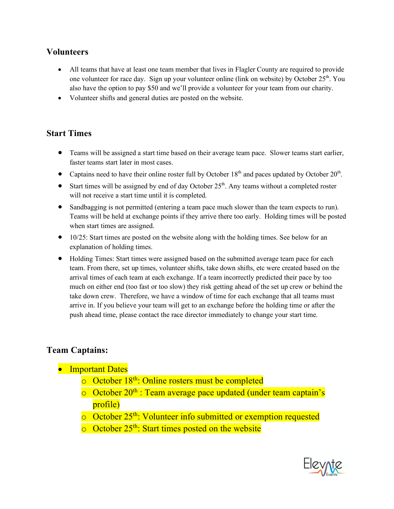#### **Volunteers**

- All teams that have at least one team member that lives in Flagler County are required to provide one volunteer for race day. Sign up your volunteer online (link on website) by October 25<sup>th</sup>. You also have the option to pay \$50 and we'll provide a volunteer for your team from our charity.
- Volunteer shifts and general duties are posted on the website.

#### **Start Times**

- Teams will be assigned a start time based on their average team pace. Slower teams start earlier, faster teams start later in most cases.
- Captains need to have their online roster full by October  $18<sup>th</sup>$  and paces updated by October  $20<sup>th</sup>$ .
- Start times will be assigned by end of day October  $25<sup>th</sup>$ . Any teams without a completed roster will not receive a start time until it is completed.
- Sandbagging is not permitted (entering a team pace much slower than the team expects to run). Teams will be held at exchange points if they arrive there too early. Holding times will be posted when start times are assigned.
- 10/25: Start times are posted on the website along with the holding times. See below for an explanation of holding times.
- Holding Times: Start times were assigned based on the submitted average team pace for each team. From there, set up times, volunteer shifts, take down shifts, etc were created based on the arrival times of each team at each exchange. If a team incorrectly predicted their pace by too much on either end (too fast or too slow) they risk getting ahead of the set up crew or behind the take down crew. Therefore, we have a window of time for each exchange that all teams must arrive in. If you believe your team will get to an exchange before the holding time or after the push ahead time, please contact the race director immediately to change your start time.

#### **Team Captains:**

- Important Dates
	- o October 18th: Online rosters must be completed
	- $\circ$  October 20<sup>th</sup> : Team average pace updated (under team captain's profile)
	- o October 25th: Volunteer info submitted or exemption requested
	- $\circ$  October 25<sup>th</sup>: Start times posted on the website

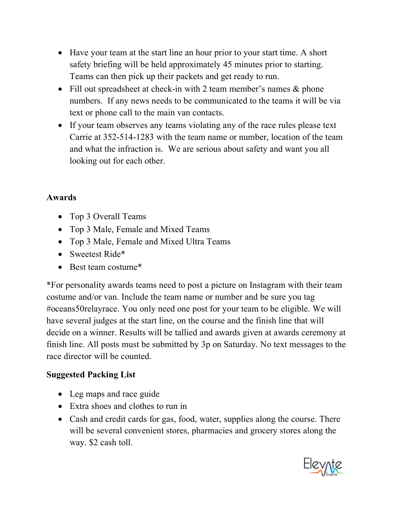- Have your team at the start line an hour prior to your start time. A short safety briefing will be held approximately 45 minutes prior to starting. Teams can then pick up their packets and get ready to run.
- Fill out spreadsheet at check-in with 2 team member's names & phone numbers. If any news needs to be communicated to the teams it will be via text or phone call to the main van contacts.
- If your team observes any teams violating any of the race rules please text Carrie at 352-514-1283 with the team name or number, location of the team and what the infraction is. We are serious about safety and want you all looking out for each other.

# **Awards**

- Top 3 Overall Teams
- Top 3 Male, Female and Mixed Teams
- Top 3 Male, Female and Mixed Ultra Teams
- Sweetest Ride\*
- Best team costume<sup>\*</sup>

\*For personality awards teams need to post a picture on Instagram with their team costume and/or van. Include the team name or number and be sure you tag #oceans50relayrace. You only need one post for your team to be eligible. We will have several judges at the start line, on the course and the finish line that will decide on a winner. Results will be tallied and awards given at awards ceremony at finish line. All posts must be submitted by 3p on Saturday. No text messages to the race director will be counted.

## **Suggested Packing List**

- Leg maps and race guide
- Extra shoes and clothes to run in
- Cash and credit cards for gas, food, water, supplies along the course. There will be several convenient stores, pharmacies and grocery stores along the way. \$2 cash toll.